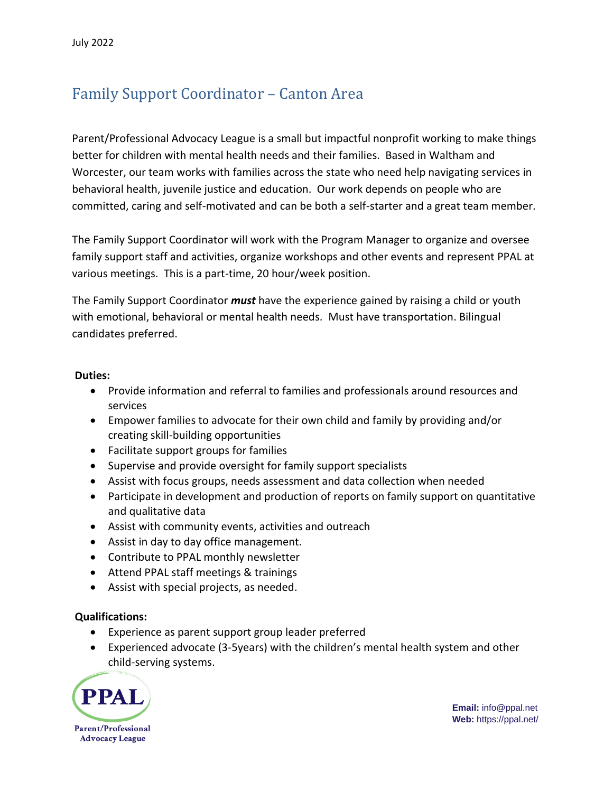## Family Support Coordinator – Canton Area

Parent/Professional Advocacy League is a small but impactful nonprofit working to make things better for children with mental health needs and their families. Based in Waltham and Worcester, our team works with families across the state who need help navigating services in behavioral health, juvenile justice and education. Our work depends on people who are committed, caring and self-motivated and can be both a self-starter and a great team member.

The Family Support Coordinator will work with the Program Manager to organize and oversee family support staff and activities, organize workshops and other events and represent PPAL at various meetings. This is a part-time, 20 hour/week position.

The Family Support Coordinator *must* have the experience gained by raising a child or youth with emotional, behavioral or mental health needs. Must have transportation. Bilingual candidates preferred.

## **Duties:**

- Provide information and referral to families and professionals around resources and services
- Empower families to advocate for their own child and family by providing and/or creating skill-building opportunities
- Facilitate support groups for families
- Supervise and provide oversight for family support specialists
- Assist with focus groups, needs assessment and data collection when needed
- Participate in development and production of reports on family support on quantitative and qualitative data
- Assist with community events, activities and outreach
- Assist in day to day office management.
- Contribute to PPAL monthly newsletter
- Attend PPAL staff meetings & trainings
- Assist with special projects, as needed.

## **Qualifications:**

- Experience as parent support group leader preferred
- Experienced advocate (3-5years) with the children's mental health system and other child-serving systems.



**Email:** info@ppal.net **Web:** https://ppal.net/